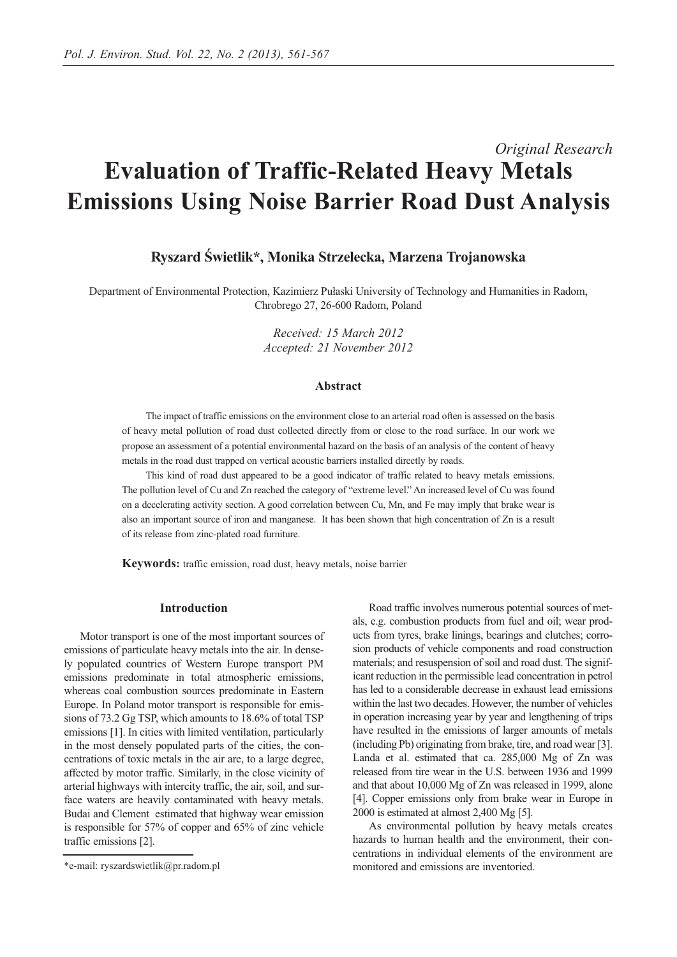# *Original Research* **Evaluation of Traffic-Related Heavy Metals Emissions Using Noise Barrier Road Dust Analysis**

## **Ryszard Świetlik\*, Monika Strzelecka, Marzena Trojanowska**

Department of Environmental Protection, Kazimierz Pułaski University of Technology and Humanities in Radom, Chrobrego 27, 26-600 Radom, Poland

> *Received: 15 March 2012 Accepted: 21 November 2012*

#### **Abstract**

The impact of traffic emissions on the environment close to an arterial road often is assessed on the basis of heavy metal pollution of road dust collected directly from or close to the road surface. In our work we propose an assessment of a potential environmental hazard on the basis of an analysis of the content of heavy metals in the road dust trapped on vertical acoustic barriers installed directly by roads.

This kind of road dust appeared to be a good indicator of traffic related to heavy metals emissions. The pollution level of Cu and Zn reached the category of "extreme level." An increased level of Cu was found on a decelerating activity section. A good correlation between Cu, Mn, and Fe may imply that brake wear is also an important source of iron and manganese. It has been shown that high concentration of Zn is a result of its release from zinc-plated road furniture.

**Keywords:** traffic emission, road dust, heavy metals, noise barrier

#### **Introduction**

Motor transport is one of the most important sources of emissions of particulate heavy metals into the air. In densely populated countries of Western Europe transport PM emissions predominate in total atmospheric emissions, whereas coal combustion sources predominate in Eastern Europe. In Poland motor transport is responsible for emissions of 73.2 Gg TSP, which amounts to 18.6% of total TSP emissions [1]. In cities with limited ventilation, particularly in the most densely populated parts of the cities, the concentrations of toxic metals in the air are, to a large degree, affected by motor traffic. Similarly, in the close vicinity of arterial highways with intercity traffic, the air, soil, and surface waters are heavily contaminated with heavy metals. Budai and Clement estimated that highway wear emission is responsible for 57% of copper and 65% of zinc vehicle traffic emissions [2].

Road traffic involves numerous potential sources of metals, e.g. combustion products from fuel and oil; wear products from tyres, brake linings, bearings and clutches; corrosion products of vehicle components and road construction materials; and resuspension of soil and road dust. The significant reduction in the permissible lead concentration in petrol has led to a considerable decrease in exhaust lead emissions within the last two decades. However, the number of vehicles in operation increasing year by year and lengthening of trips have resulted in the emissions of larger amounts of metals (including Pb) originating from brake, tire, and road wear [3]. Landa et al. estimated that ca. 285,000 Mg of Zn was released from tire wear in the U.S. between 1936 and 1999 and that about 10,000 Mg of Zn was released in 1999, alone [4]. Copper emissions only from brake wear in Europe in 2000 is estimated at almost 2,400 Mg [5].

As environmental pollution by heavy metals creates hazards to human health and the environment, their concentrations in individual elements of the environment are monitored and emissions are inventoried.

<sup>\*</sup>e-mail: ryszardswietlik@pr.radom.pl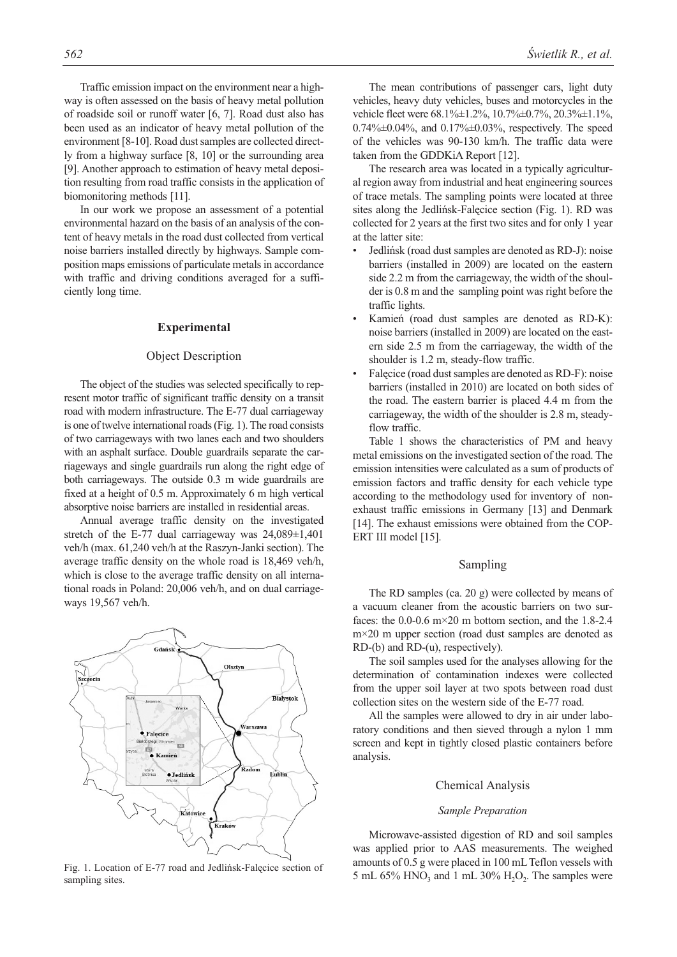Traffic emission impact on the environment near a highway is often assessed on the basis of heavy metal pollution of roadside soil or runoff water [6, 7]. Road dust also has been used as an indicator of heavy metal pollution of the environment [8-10]. Road dust samples are collected directly from a highway surface [8, 10] or the surrounding area [9]. Another approach to estimation of heavy metal deposition resulting from road traffic consists in the application of biomonitoring methods [11].

In our work we propose an assessment of a potential environmental hazard on the basis of an analysis of the content of heavy metals in the road dust collected from vertical noise barriers installed directly by highways. Sample composition maps emissions of particulate metals in accordance with traffic and driving conditions averaged for a sufficiently long time.

#### **Experimental**

#### Object Description

The object of the studies was selected specifically to represent motor traffic of significant traffic density on a transit road with modern infrastructure. The E-77 dual carriageway is one of twelve international roads (Fig. 1). The road consists of two carriageways with two lanes each and two shoulders with an asphalt surface. Double guardrails separate the carriageways and single guardrails run along the right edge of both carriageways. The outside 0.3 m wide guardrails are fixed at a height of 0.5 m. Approximately 6 m high vertical absorptive noise barriers are installed in residential areas.

Annual average traffic density on the investigated stretch of the E-77 dual carriageway was  $24,089 \pm 1,401$ veh/h (max. 61,240 veh/h at the Raszyn-Janki section). The average traffic density on the whole road is 18,469 veh/h, which is close to the average traffic density on all international roads in Poland: 20,006 veh/h, and on dual carriageways 19,567 veh/h.



Fig. 1. Location of E-77 road and Jedlińsk-Falęcice section of sampling sites.

The mean contributions of passenger cars, light duty vehicles, heavy duty vehicles, buses and motorcycles in the vehicle fleet were 68.1%±1.2%, 10.7%±0.7%, 20.3%±1.1%,  $0.74\% \pm 0.04\%$ , and  $0.17\% \pm 0.03\%$ , respectively. The speed of the vehicles was 90-130 km/h. The traffic data were taken from the GDDKiA Report [12].

The research area was located in a typically agricultural region away from industrial and heat engineering sources of trace metals. The sampling points were located at three sites along the Jedlińsk-Falęcice section (Fig. 1). RD was collected for 2 years at the first two sites and for only 1 year at the latter site:

- Jedlińsk (road dust samples are denoted as RD-J): noise barriers (installed in 2009) are located on the eastern side 2.2 m from the carriageway, the width of the shoulder is 0.8 m and the sampling point was right before the traffic lights.
- Kamień (road dust samples are denoted as RD-K): noise barriers (installed in 2009) are located on the eastern side 2.5 m from the carriageway, the width of the shoulder is 1.2 m, steady-flow traffic.
- Falęcice (road dust samples are denoted as RD-F): noise barriers (installed in 2010) are located on both sides of the road. The eastern barrier is placed 4.4 m from the carriageway, the width of the shoulder is 2.8 m, steadyflow traffic.

Table 1 shows the characteristics of PM and heavy metal emissions on the investigated section of the road. The emission intensities were calculated as a sum of products of emission factors and traffic density for each vehicle type according to the methodology used for inventory of nonexhaust traffic emissions in Germany [13] and Denmark [14]. The exhaust emissions were obtained from the COP-ERT III model [15].

## Sampling

The RD samples (ca. 20 g) were collected by means of a vacuum cleaner from the acoustic barriers on two surfaces: the  $0.0\n-0.6$  m $\times$ 20 m bottom section, and the 1.8-2.4 m×20 m upper section (road dust samples are denoted as RD-(b) and RD-(u), respectively).

The soil samples used for the analyses allowing for the determination of contamination indexes were collected from the upper soil layer at two spots between road dust collection sites on the western side of the E-77 road.

All the samples were allowed to dry in air under laboratory conditions and then sieved through a nylon 1 mm screen and kept in tightly closed plastic containers before analysis.

#### Chemical Analysis

#### *Sample Preparation*

Microwave-assisted digestion of RD and soil samples was applied prior to AAS measurements. The weighed amounts of 0.5 g were placed in 100 mL Teflon vessels with 5 mL 65% HNO<sub>3</sub> and 1 mL 30%  $H_2O_2$ . The samples were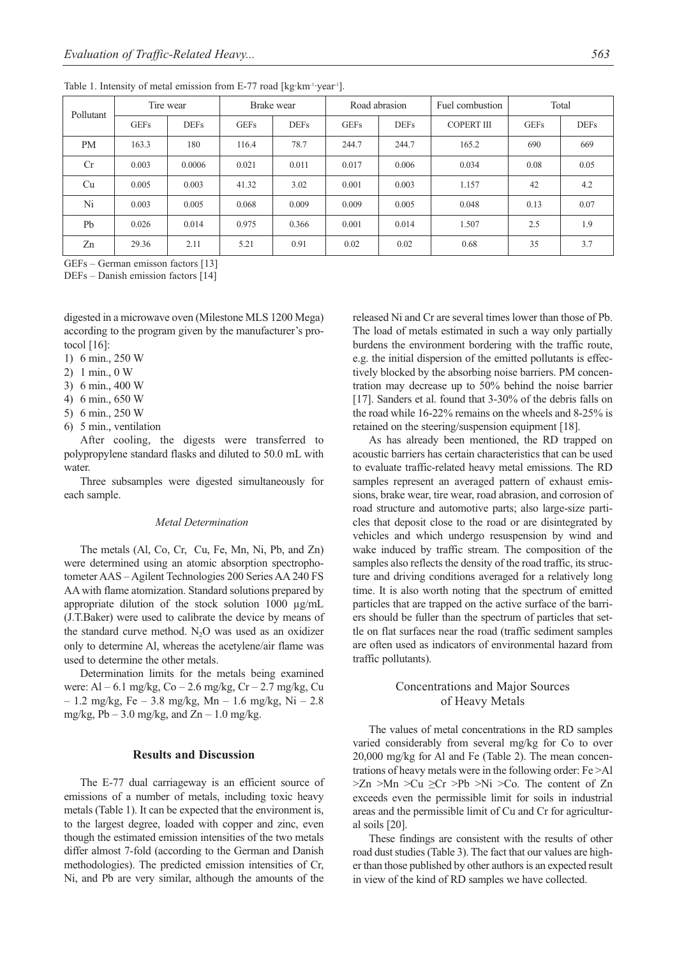| Pollutant      | Tire wear   |             | Brake wear  |             |             | Road abrasion | Fuel combustion   |             | Total       |  |
|----------------|-------------|-------------|-------------|-------------|-------------|---------------|-------------------|-------------|-------------|--|
|                | <b>GEFs</b> | <b>DEFs</b> | <b>GEFs</b> | <b>DEFs</b> | <b>GEFs</b> | <b>DEFs</b>   | <b>COPERT III</b> | <b>GEFs</b> | <b>DEFs</b> |  |
| PM             | 163.3       | 180         | 116.4       | 78.7        | 244.7       | 244.7         | 165.2             | 690         | 669         |  |
| Cr             | 0.003       | 0.0006      | 0.021       | 0.011       | 0.017       | 0.006         | 0.034             | 0.08        | 0.05        |  |
| Cu             | 0.005       | 0.003       | 41.32       | 3.02        | 0.001       | 0.003         | 1.157             | 42          | 4.2         |  |
| Ni             | 0.003       | 0.005       | 0.068       | 0.009       | 0.009       | 0.005         | 0.048             | 0.13        | 0.07        |  |
| P <sub>b</sub> | 0.026       | 0.014       | 0.975       | 0.366       | 0.001       | 0.014         | 1.507             | 2.5         | 1.9         |  |
| Zn             | 29.36       | 2.11        | 5.21        | 0.91        | 0.02        | 0.02          | 0.68              | 35          | 3.7         |  |

Table 1. Intensity of metal emission from E-77 road [kg·km<sup>-1</sup>·year<sup>1</sup>].

GEFs – German emisson factors [13]

DEFs – Danish emission factors [14]

digested in a microwave oven (Milestone MLS 1200 Mega) according to the program given by the manufacturer's protocol [16]:

- 1) 6 min., 250 W
- 2) 1 min., 0 W
- 3) 6 min., 400 W
- 4) 6 min., 650 W
- 5) 6 min., 250 W
- 6) 5 min., ventilation

After cooling, the digests were transferred to polypropylene standard flasks and diluted to 50.0 mL with water.

Three subsamples were digested simultaneously for each sample.

#### *Metal Determination*

The metals (Al, Co, Cr, Cu, Fe, Mn, Ni, Pb, and Zn) were determined using an atomic absorption spectrophotometer AAS – Agilent Technologies 200 Series AA 240 FS AA with flame atomization. Standard solutions prepared by appropriate dilution of the stock solution 1000 µg/mL (J.T.Baker) were used to calibrate the device by means of the standard curve method.  $N_2O$  was used as an oxidizer only to determine Al, whereas the acetylene/air flame was used to determine the other metals.

Determination limits for the metals being examined were: Al – 6.1 mg/kg, Co – 2.6 mg/kg, Cr – 2.7 mg/kg, Cu  $- 1.2$  mg/kg, Fe  $- 3.8$  mg/kg, Mn  $- 1.6$  mg/kg, Ni  $- 2.8$ mg/kg,  $Pb - 3.0$  mg/kg, and  $Zn - 1.0$  mg/kg.

## **Results and Discussion**

The E-77 dual carriageway is an efficient source of emissions of a number of metals, including toxic heavy metals (Table 1). It can be expected that the environment is, to the largest degree, loaded with copper and zinc, even though the estimated emission intensities of the two metals differ almost 7-fold (according to the German and Danish methodologies). The predicted emission intensities of Cr, Ni, and Pb are very similar, although the amounts of the

released Ni and Cr are several times lower than those of Pb. The load of metals estimated in such a way only partially burdens the environment bordering with the traffic route, e.g. the initial dispersion of the emitted pollutants is effectively blocked by the absorbing noise barriers. PM concentration may decrease up to 50% behind the noise barrier [17]. Sanders et al. found that  $3-30\%$  of the debris falls on the road while 16-22% remains on the wheels and 8-25% is retained on the steering/suspension equipment [18].

As has already been mentioned, the RD trapped on acoustic barriers has certain characteristics that can be used to evaluate traffic-related heavy metal emissions. The RD samples represent an averaged pattern of exhaust emissions, brake wear, tire wear, road abrasion, and corrosion of road structure and automotive parts; also large-size particles that deposit close to the road or are disintegrated by vehicles and which undergo resuspension by wind and wake induced by traffic stream. The composition of the samples also reflects the density of the road traffic, its structure and driving conditions averaged for a relatively long time. It is also worth noting that the spectrum of emitted particles that are trapped on the active surface of the barriers should be fuller than the spectrum of particles that settle on flat surfaces near the road (traffic sediment samples are often used as indicators of environmental hazard from traffic pollutants).

## Concentrations and Major Sources of Heavy Metals

The values of metal concentrations in the RD samples varied considerably from several mg/kg for Co to over 20,000 mg/kg for Al and Fe (Table 2). The mean concentrations of heavy metals were in the following order: Fe >Al  $\geq Zn$   $\geq$ Mn  $\geq$ Cu  $\geq$ Cr  $\geq$ Pb  $\geq$ Ni  $\geq$ Co. The content of Zn exceeds even the permissible limit for soils in industrial areas and the permissible limit of Cu and Cr for agricultural soils [20].

These findings are consistent with the results of other road dust studies (Table 3). The fact that our values are higher than those published by other authors is an expected result in view of the kind of RD samples we have collected.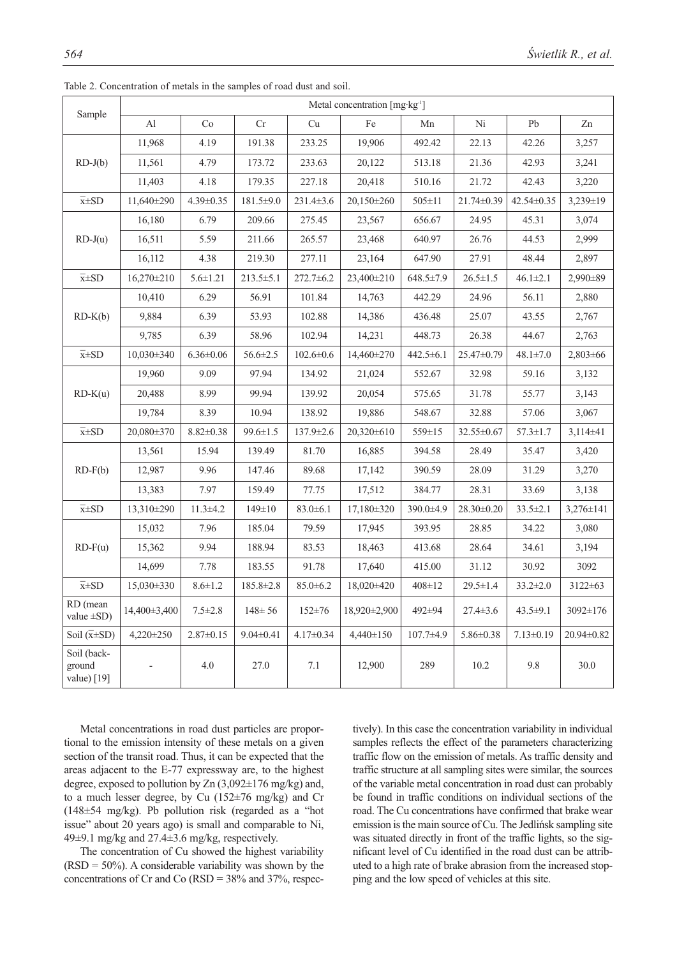|                                      | Metal concentration [mg·kg <sup>-1</sup> ] |                 |                 |                 |                |                 |                 |                 |                 |  |
|--------------------------------------|--------------------------------------------|-----------------|-----------------|-----------------|----------------|-----------------|-----------------|-----------------|-----------------|--|
| Sample                               | Al                                         | Co              | Cr              | Cu              | Fe             | Mn              | Ni              | Pb              | Zn              |  |
| $RD-J(b)$                            | 11,968                                     | 4.19            | 191.38          | 233.25          | 19,906         | 492.42          | 22.13           | 42.26           | 3,257           |  |
|                                      | 11,561                                     | 4.79            | 173.72          | 233.63          | 20,122         | 513.18          | 21.36           | 42.93           | 3,241           |  |
|                                      | 11,403                                     | 4.18            | 179.35          | 227.18          | 20,418         | 510.16          | 21.72           | 42.43           | 3,220           |  |
| $\overline{x} \pm SD$                | 11,640±290                                 | $4.39 \pm 0.35$ | $181.5 \pm 9.0$ | 231.4±3.6       | 20,150±260     | $505 \pm 11$    | 21.74±0.39      | 42.54±0.35      | $3,239 \pm 19$  |  |
|                                      | 16,180                                     | 6.79            | 209.66          | 275.45          | 23,567         | 656.67          | 24.95           | 45.31           | 3,074           |  |
| $RD-J(u)$                            | 16,511                                     | 5.59            | 211.66          | 265.57          | 23,468         | 640.97          | 26.76           | 44.53           | 2,999           |  |
|                                      | 16,112                                     | 4.38            | 219.30          | 277.11          | 23,164         | 647.90          | 27.91           | 48.44           | 2,897           |  |
| $\overline{x} \pm SD$                | $16,270\pm210$                             | $5.6 \pm 1.21$  | $213.5 \pm 5.1$ | $272.7 \pm 6.2$ | $23,400\pm210$ | $648.5 \pm 7.9$ | $26.5 \pm 1.5$  | $46.1 \pm 2.1$  | 2,990±89        |  |
|                                      | 10,410                                     | 6.29            | 56.91           | 101.84          | 14,763         | 442.29          | 24.96           | 56.11           | 2,880           |  |
| $RD-K(b)$                            | 9,884                                      | 6.39            | 53.93           | 102.88          | 14,386         | 436.48          | 25.07           | 43.55           | 2,767           |  |
|                                      | 9,785                                      | 6.39            | 58.96           | 102.94          | 14,231         | 448.73          | 26.38           | 44.67           | 2,763           |  |
| $\overline{x} \pm SD$                | $10,030\pm340$                             | $6.36 \pm 0.06$ | $56.6 \pm 2.5$  | $102.6 \pm 0.6$ | 14,460±270     | 442.5±6.1       | 25.47±0.79      | $48.1 \pm 7.0$  | $2,803 \pm 66$  |  |
|                                      | 19,960                                     | 9.09            | 97.94           | 134.92          | 21,024         | 552.67          | 32.98           | 59.16           | 3,132           |  |
| $RD-K(u)$                            | 20,488                                     | 8.99            | 99.94           | 139.92          | 20.054         | 575.65          | 31.78           | 55.77           | 3,143           |  |
|                                      | 19,784                                     | 8.39            | 10.94           | 138.92          | 19,886         | 548.67          | 32.88           | 57.06           | 3,067           |  |
| $\overline{x} \pm SD$                | 20,080±370                                 | $8.82 \pm 0.38$ | $99.6 \pm 1.5$  | 137.9±2.6       | 20,320±610     | 559±15          | 32.55±0.67      | $57.3 \pm 1.7$  | $3,114\pm41$    |  |
| $RD-F(b)$                            | 13,561                                     | 15.94           | 139.49          | 81.70           | 16,885         | 394.58          | 28.49           | 35.47           | 3,420           |  |
|                                      | 12,987                                     | 9.96            | 147.46          | 89.68           | 17,142         | 390.59          | 28.09           | 31.29           | 3,270           |  |
|                                      | 13,383                                     | 7.97            | 159.49          | 77.75           | 17,512         | 384.77          | 28.31           | 33.69           | 3,138           |  |
| $\overline{x} \pm SD$                | 13,310±290                                 | $11.3 \pm 4.2$  | $149 \pm 10$    | $83.0 \pm 6.1$  | $17,180\pm320$ | 390.0±4.9       | 28.30±0.20      | $33.5 \pm 2.1$  | $3,276 \pm 141$ |  |
|                                      | 15,032                                     | 7.96            | 185.04          | 79.59           | 17,945         | 393.95          | 28.85           | 34.22           | 3,080           |  |
| $RD-F(u)$                            | 15,362                                     | 9.94            | 188.94          | 83.53           | 18,463         | 413.68          | 28.64           | 34.61           | 3,194           |  |
|                                      | 14,699                                     | 7.78            | 183.55          | 91.78           | 17,640         | 415.00          | 31.12           | 30.92           | 3092            |  |
| $\overline{x} \pm SD$                | $15,030\pm330$                             | $8.6 \pm 1.2$   | 185.8±2.8       | $85.0 \pm 6.2$  | 18,020±420     | 408±12          | $29.5 \pm 1.4$  | $33.2 \pm 2.0$  | 3122±63         |  |
| RD (mean<br>value $\pm SD$ )         | 14,400±3,400                               | $7.5 \pm 2.8$   | $148 \pm 56$    | $152 \pm 76$    | 18,920±2,900   | 492±94          | $27.4 \pm 3.6$  | $43.5 \pm 9.1$  | 3092±176        |  |
| Soil $(\overline{x} \pm SD)$         | 4,220±250                                  | $2.87 \pm 0.15$ | $9.04 \pm 0.41$ | $4.17 \pm 0.34$ | 4,440±150      | $107.7 \pm 4.9$ | $5.86 \pm 0.38$ | $7.13 \pm 0.19$ | 20.94±0.82      |  |
| Soil (back-<br>ground<br>value) [19] |                                            | 4.0             | 27.0            | 7.1             | 12,900         | 289             | 10.2            | 9.8             | 30.0            |  |

Table 2. Concentration of metals in the samples of road dust and soil.

Metal concentrations in road dust particles are proportional to the emission intensity of these metals on a given section of the transit road. Thus, it can be expected that the areas adjacent to the E-77 expressway are, to the highest degree, exposed to pollution by Zn (3,092±176 mg/kg) and, to a much lesser degree, by Cu (152±76 mg/kg) and Cr (148±54 mg/kg). Pb pollution risk (regarded as a "hot issue" about 20 years ago) is small and comparable to Ni, 49±9.1 mg/kg and 27.4±3.6 mg/kg, respectively.

The concentration of Cu showed the highest variability  $(RSD = 50\%)$ . A considerable variability was shown by the concentrations of Cr and Co  $(RSD = 38\%$  and  $37\%$ , respectively). In this case the concentration variability in individual samples reflects the effect of the parameters characterizing traffic flow on the emission of metals. As traffic density and traffic structure at all sampling sites were similar, the sources of the variable metal concentration in road dust can probably be found in traffic conditions on individual sections of the road. The Cu concentrations have confirmed that brake wear emission is the main source of Cu. The Jedlińsk sampling site was situated directly in front of the traffic lights, so the significant level of Cu identified in the road dust can be attributed to a high rate of brake abrasion from the increased stopping and the low speed of vehicles at this site.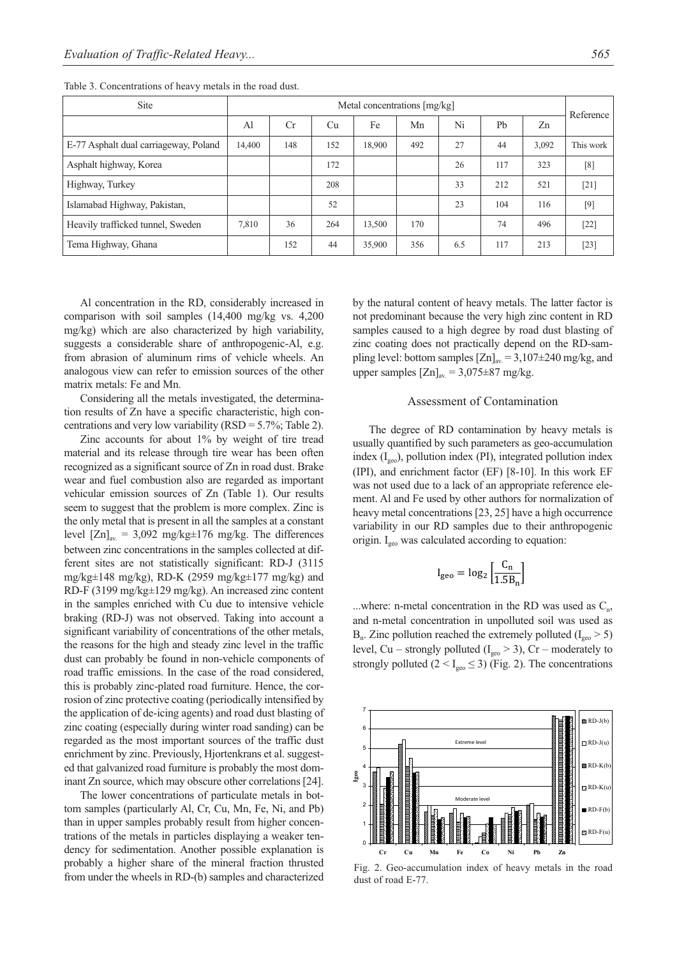| Site                                  | Metal concentrations [mg/kg] |           |     |        |     |     |                |       | Reference |
|---------------------------------------|------------------------------|-----------|-----|--------|-----|-----|----------------|-------|-----------|
|                                       | Al                           | <b>Cr</b> | Cu  | Fe     | Mn  | Ni  | P <sub>b</sub> | Zn    |           |
| E-77 Asphalt dual carriageway, Poland | 14.400                       | 148       | 152 | 18.900 | 492 | 27  | 44             | 3,092 | This work |
| Asphalt highway, Korea                |                              |           | 172 |        |     | 26  | 117            | 323   | [8]       |
| Highway, Turkey                       |                              |           | 208 |        |     | 33  | 212            | 521   | $[21]$    |
| Islamabad Highway, Pakistan,          |                              |           | 52  |        |     | 23  | 104            | 116   | $[9]$     |
| Heavily trafficked tunnel, Sweden     | 7,810                        | 36        | 264 | 13,500 | 170 |     | 74             | 496   | $[22]$    |
| Tema Highway, Ghana                   |                              | 152       | 44  | 35,900 | 356 | 6.5 | 117            | 213   | $[23]$    |

Table 3. Concentrations of heavy metals in the road dust.

Al concentration in the RD, considerably increased in comparison with soil samples (14,400 mg/kg vs. 4,200 mg/kg) which are also characterized by high variability, suggests a considerable share of anthropogenic-Al, e.g. from abrasion of aluminum rims of vehicle wheels. An analogous view can refer to emission sources of the other matrix metals: Fe and Mn.

Considering all the metals investigated, the determination results of Zn have a specific characteristic, high concentrations and very low variability  $(RSD = 5.7\%; Table 2)$ .

Zinc accounts for about 1% by weight of tire tread material and its release through tire wear has been often recognized as a significant source of Zn in road dust. Brake wear and fuel combustion also are regarded as important vehicular emission sources of Zn (Table 1). Our results seem to suggest that the problem is more complex. Zinc is the only metal that is present in all the samples at a constant level  $[Zn]_{av} = 3,092$  mg/kg $\pm 176$  mg/kg. The differences between zinc concentrations in the samples collected at different sites are not statistically significant: RD-J (3115 mg/kg $\pm$ 148 mg/kg), RD-K (2959 mg/kg $\pm$ 177 mg/kg) and RD-F (3199 mg/kg±129 mg/kg). An increased zinc content in the samples enriched with Cu due to intensive vehicle braking (RD-J) was not observed. Taking into account a significant variability of concentrations of the other metals, the reasons for the high and steady zinc level in the traffic dust can probably be found in non-vehicle components of road traffic emissions. In the case of the road considered, this is probably zinc-plated road furniture. Hence, the corrosion of zinc protective coating (periodically intensified by the application of de-icing agents) and road dust blasting of zinc coating (especially during winter road sanding) can be regarded as the most important sources of the traffic dust enrichment by zinc. Previously, Hjortenkrans et al. suggested that galvanized road furniture is probably the most dominant Zn source, which may obscure other correlations [24].

The lower concentrations of particulate metals in bottom samples (particularly Al, Cr, Cu, Mn, Fe, Ni, and Pb) than in upper samples probably result from higher concentrations of the metals in particles displaying a weaker tendency for sedimentation. Another possible explanation is probably a higher share of the mineral fraction thrusted from under the wheels in RD-(b) samples and characterized by the natural content of heavy metals. The latter factor is not predominant because the very high zinc content in RD samples caused to a high degree by road dust blasting of zinc coating does not practically depend on the RD-sampling level: bottom samples  $[Zn]_{av} = 3,107 \pm 240$  mg/kg, and upper samples  $[Zn]_{av} = 3.075 \pm 87$  mg/kg.

#### Assessment of Contamination

The degree of RD contamination by heavy metals is usually quantified by such parameters as geo-accumulation index  $(I_{\text{geo}})$ , pollution index (PI), integrated pollution index (IPI), and enrichment factor (EF) [8-10]. In this work EF was not used due to a lack of an appropriate reference element. Al and Fe used by other authors for normalization of heavy metal concentrations [23, 25] have a high occurrence variability in our RD samples due to their anthropogenic origin. I<sub>geo</sub> was calculated according to equation:

$$
I_{\rm geo} = \log_2 \left[ \frac{C_n}{1.5 B_n} \right]
$$

...where: n-metal concentration in the RD was used as  $C_n$ , and n-metal concentration in unpolluted soil was used as  $B_n$ . Zinc pollution reached the extremely polluted ( $I_{geo} > 5$ ) level, Cu – strongly polluted ( $I_{geo} > 3$ ), Cr – moderately to strongly polluted  $(2 < I_{\text{geo}} \leq 3)$  (Fig. 2). The concentrations



Fig. 2. Geo-accumulation index of heavy metals in the road dust of road E-77.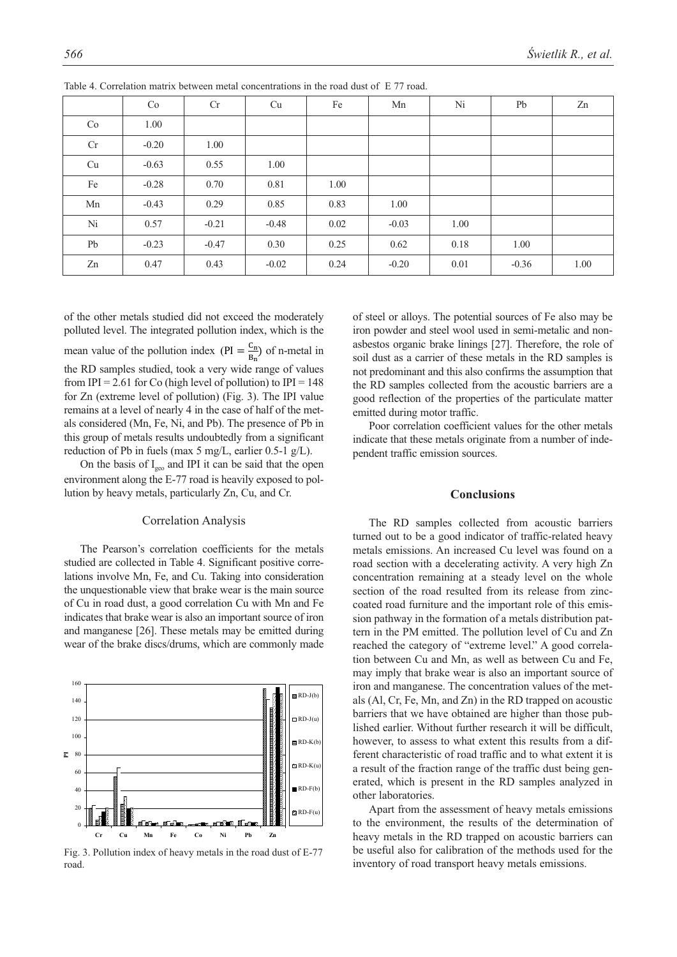|    | Co      | Cr      | Cu      | Fe   | Mn      | Ni   | Pb      | Zn   |
|----|---------|---------|---------|------|---------|------|---------|------|
| Co | 1.00    |         |         |      |         |      |         |      |
| Cr | $-0.20$ | 1.00    |         |      |         |      |         |      |
| Cu | $-0.63$ | 0.55    | 1.00    |      |         |      |         |      |
| Fe | $-0.28$ | 0.70    | 0.81    | 1.00 |         |      |         |      |
| Mn | $-0.43$ | 0.29    | 0.85    | 0.83 | 1.00    |      |         |      |
| Ni | 0.57    | $-0.21$ | $-0.48$ | 0.02 | $-0.03$ | 1.00 |         |      |
| Pb | $-0.23$ | $-0.47$ | 0.30    | 0.25 | 0.62    | 0.18 | 1.00    |      |
| Zn | 0.47    | 0.43    | $-0.02$ | 0.24 | $-0.20$ | 0.01 | $-0.36$ | 1.00 |

Table 4. Correlation matrix between metal concentrations in the road dust of E 77 road.

of the other metals studied did not exceed the moderately polluted level. The integrated pollution index, which is the

mean value of the pollution index ( $PI = \frac{C_n}{B_n}$ ) of n-metal in the RD samples studied, took a very wide range of values from IPI = 2.61 for Co (high level of pollution) to IPI =  $148$ for Zn (extreme level of pollution) (Fig. 3). The IPI value remains at a level of nearly 4 in the case of half of the metals considered (Mn, Fe, Ni, and Pb). The presence of Pb in this group of metals results undoubtedly from a significant reduction of Pb in fuels (max 5 mg/L, earlier 0.5-1 g/L).

On the basis of  $I_{geo}$  and IPI it can be said that the open environment along the E-77 road is heavily exposed to pollution by heavy metals, particularly Zn, Cu, and Cr.

## Correlation Analysis

The Pearson's correlation coefficients for the metals studied are collected in Table 4. Significant positive correlations involve Mn, Fe, and Cu. Taking into consideration the unquestionable view that brake wear is the main source of Cu in road dust, a good correlation Cu with Mn and Fe indicates that brake wear is also an important source of iron and manganese [26]. These metals may be emitted during wear of the brake discs/drums, which are commonly made



Fig. 3. Pollution index of heavy metals in the road dust of E-77 road.

of steel or alloys. The potential sources of Fe also may be iron powder and steel wool used in semi-metalic and nonasbestos organic brake linings [27]. Therefore, the role of soil dust as a carrier of these metals in the RD samples is not predominant and this also confirms the assumption that the RD samples collected from the acoustic barriers are a good reflection of the properties of the particulate matter emitted during motor traffic.

Poor correlation coefficient values for the other metals indicate that these metals originate from a number of independent traffic emission sources.

### **Conclusions**

The RD samples collected from acoustic barriers turned out to be a good indicator of traffic-related heavy metals emissions. An increased Cu level was found on a road section with a decelerating activity. A very high Zn concentration remaining at a steady level on the whole section of the road resulted from its release from zinccoated road furniture and the important role of this emission pathway in the formation of a metals distribution pattern in the PM emitted. The pollution level of Cu and Zn reached the category of "extreme level." A good correlation between Cu and Mn, as well as between Cu and Fe, may imply that brake wear is also an important source of iron and manganese. The concentration values of the metals (Al, Cr, Fe, Mn, and Zn) in the RD trapped on acoustic barriers that we have obtained are higher than those published earlier. Without further research it will be difficult, however, to assess to what extent this results from a different characteristic of road traffic and to what extent it is a result of the fraction range of the traffic dust being generated, which is present in the RD samples analyzed in other laboratories.

Apart from the assessment of heavy metals emissions to the environment, the results of the determination of heavy metals in the RD trapped on acoustic barriers can be useful also for calibration of the methods used for the inventory of road transport heavy metals emissions.